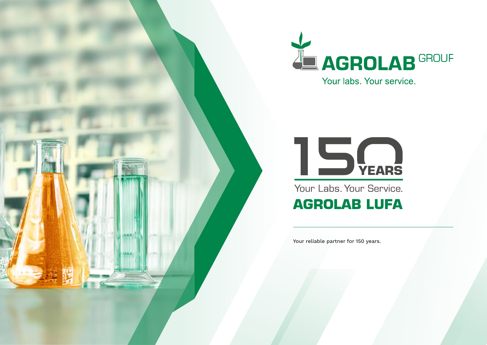

Your labs. Your service.



Your Labs. Your Service.

### **AGROLAB LUFA**

Your reliable partner for 150 years.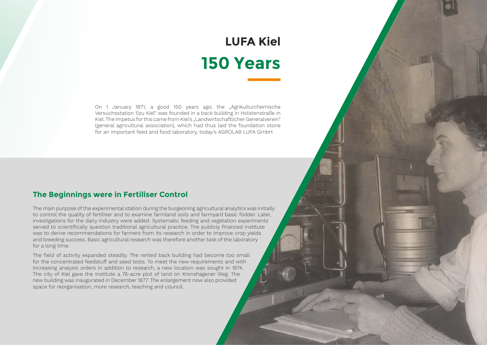### **LUFA Kiel 150 Years**

On 1 January 1871, a good 150 years ago, the "Agrikulturchemische Versuchsstation 1)zu Kiel" was founded in a back building in Holstenstraße in Kiel. The impetus for this came from Kiel's "Landwirtschaftlicher Generalverein" (general agricultural association), which had thus laid the foundation stone for an important feed and food laboratory, today's AGROLAB LUFA GmbH.

### **The Beginnings were in Fertiliser Control**

The main purpose of the experimental station during the burgeoning agricultural analytics was initially to control the quality of fertiliser and to examine farmland soils and farmyard basic fodder. Later, investigations for the dairy industry were added. Systematic feeding and vegetation experiments served to scientifically question traditional agricultural practice. The publicly financed institute was to derive recommendations for farmers from its research in order to improve crop yields and breeding success. Basic agricultural research was therefore another task of the laboratory for a long time.

The field of activity expanded steadily. The rented back building had become too small for the concentrated feedstuff and seed tests. To meet the new requirements and with increasing analysis orders in addition to research, a new location was sought in 1874. The city of Kiel gave the Institute a 76-acre plot of land on Kronshagener Weg. The new building was inaugurated in December 1877. The enlargement now also provided space for reorganisation, more research, teaching and council.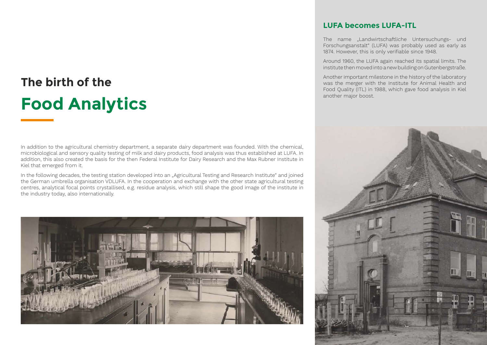### **The birth of the Food Analytics**

In addition to the agricultural chemistry department, a separate dairy department was founded. With the chemical, microbiological and sensory quality testing of milk and dairy products, food analysis was thus established at LUFA. In addition, this also created the basis for the then Federal Institute for Dairy Research and the Max Rubner Institute in Kiel that emerged from it.

In the following decades, the testing station developed into an "Agricultural Testing and Research Institute" and joined the German umbrella organisation VDLUFA. In the cooperation and exchange with the other state agricultural testing centres, analytical focal points crystallised, e.g. residue analysis, which still shape the good image of the institute in the industry today, also internationally.



#### **LUFA becomes LUFA-ITL**

The name "Landwirtschaftliche Untersuchungs- und Forschungsanstalt" (LUFA) was probably used as early as 1874. However, this is only verifiable since 1948.

Around 1960, the LUFA again reached its spatial limits. The institute then moved into a new building on Gutenbergstraße.

Another important milestone in the history of the laboratory was the merger with the Institute for Animal Health and Food Quality (ITL) in 1988, which gave food analysis in Kiel another major boost.

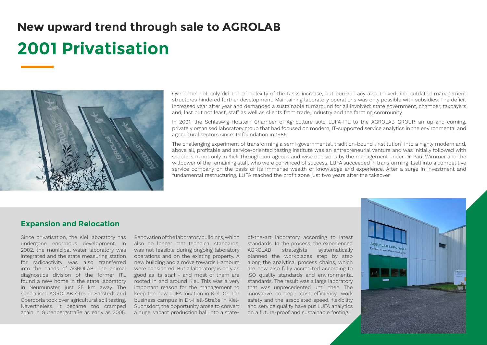## **New upward trend through sale to AGROLAB**

### **2001 Privatisation**



Over time, not only did the complexity of the tasks increase, but bureaucracy also thrived and outdated management structures hindered further development. Maintaining laboratory operations was only possible with subsidies. The deficit increased year after year and demanded a sustainable turnaround for all involved: state government, chamber, taxpayers and, last but not least, staff as well as clients from trade, industry and the farming community.

In 2001, the Schleswig-Holstein Chamber of Agriculture sold LUFA-ITL to the AGROLAB GROUP, an up-and-coming, privately organised laboratory group that had focused on modern, IT-supported service analytics in the environmental and agricultural sectors since its foundation in 1986.

The challenging experiment of transforming a semi-governmental, tradition-bound "institution" into a highly modern and, above all, profitable and service-oriented testing institute was an entrepreneurial venture and was initially followed with scepticism, not only in Kiel. Through courageous and wise decisions by the management under Dr. Paul Wimmer and the willpower of the remaining staff, who were convinced of success, LUFA succeeded in transforming itself into a competitive service company on the basis of its immense wealth of knowledge and experience. After a surge in investment and fundamental restructuring, LUFA reached the profit zone just two years after the takeover.

#### **Expansion and Relocation**

Since privatisation, the Kiel laboratory has undergone enormous development. In 2002, the municipal water laboratory was integrated and the state measuring station for radioactivity was also transferred into the hands of AGROLAB. The animal diagnostics division of the former ITL found a new home in the state laboratory in Neumünster, just 35 km away. The specialised AGROLAB sites in Sarstedt and Oberdorla took over agricultural soil testing. Nevertheless, it became too cramped again in Gutenbergstraße as early as 2005.

Renovation of the laboratory buildings, which also no longer met technical standards, was not feasible during ongoing laboratory operations and on the existing property. A new building and a move towards Hamburg were considered. But a laboratory is only as good as its staff - and most of them are rooted in and around Kiel. This was a very important reason for the management to keep the new LUFA location in Kiel. On the business campus in Dr.-Hell-Straße in Kiel-Suchsdorf, the opportunity arose to convert a huge, vacant production hall into a stateof-the-art laboratory according to latest standards. In the process, the experienced AGROLAB strategists systematically planned the workplaces step by step along the analytical process chains, which are now also fully accredited according to ISO quality standards and environmental standards. The result was a large laboratory that was unprecedented until then. The innovative concept, cost efficiency, work safety and the associated speed, flexibility and service quality have put LUFA analytics on a future-proof and sustainable footing.

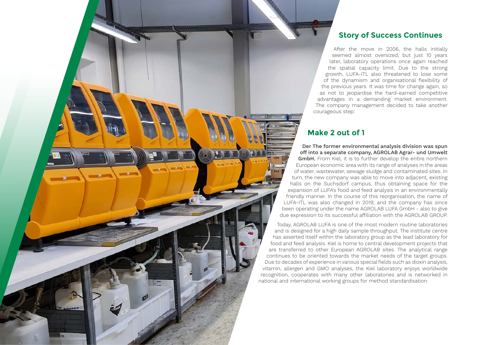#### **Story of Success Continues**

After the move in 2006, the halls initially seemed almost oversized, but just 10 years later, laboratory operations once again reached the spatial capacity limit. Due to the strong growth, LUFA-ITL also threatened to lose some of the dynamism and organisational flexibility of the previous years. It was time for change again, so as not to jeopardise the hard-earned competitive advantages in a demanding market environment. The company management decided to take another courageous step:

#### **Make 2 out of 1**

Der The former environmental analysis division was spun off into a separate company, AGROLAB Agrar- und Umwelt GmbH. From Kiel, it is to further develop the entire northern European economic area with its range of analyses in the areas of water, wastewater, sewage sludge and contaminated sites. In turn, the new company was able to move into adjacent, existing halls on the Suchsdorf campus, thus obtaining space for the expansion of LUFA's food and feed analysis in an environmentally friendly manner. In the course of this reorganisation, the name of LUFA-ITL was also changed in 2019, and the company has since been operating under the name AGROLAB LUFA GmbH - also to give due expression to its successful affiliation with the AGROLAB GROUP.

Today, AGROLAB LUFA is one of the most modern routine laboratories and is designed for a high daily sample throughput. The institute centre has asserted itself within the laboratory group as the lead laboratory for food and feed analysis. Kiel is home to central development projects that are transferred to other European AGROLAB sites. The analytical range continues to be oriented towards the market needs of the target groups. Due to decades of experience in various special fields such as dioxin analysis, vitamin, allergen and GMO analyses, the Kiel laboratory enjoys worldwide recognition, cooperates with many other laboratories and is networked in national and international working groups for method standardisation.